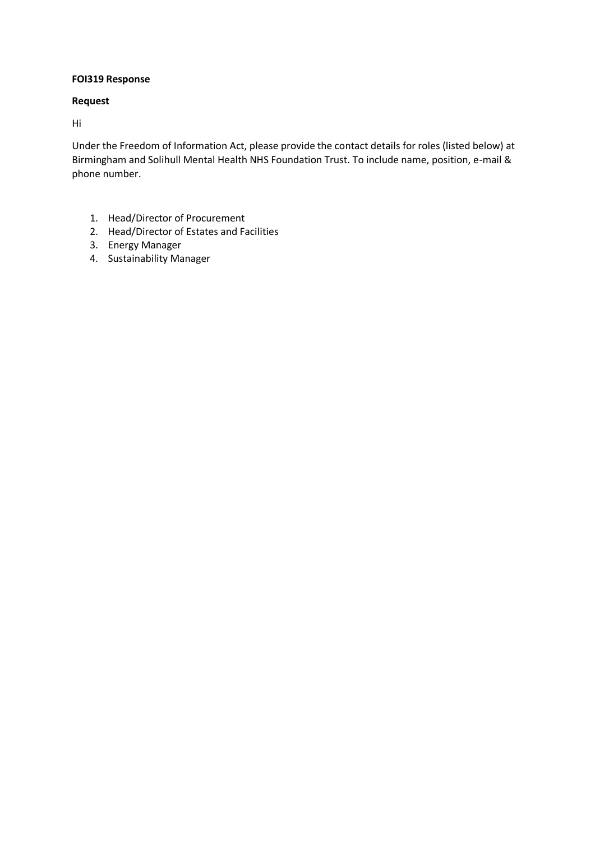# **FOI319 Response**

## **Request**

Hi

Under the Freedom of Information Act, please provide the contact details for roles (listed below) at Birmingham and Solihull Mental Health NHS Foundation Trust. To include name, position, e-mail & phone number.

- 1. Head/Director of Procurement
- 2. Head/Director of Estates and Facilities
- 3. Energy Manager
- 4. Sustainability Manager